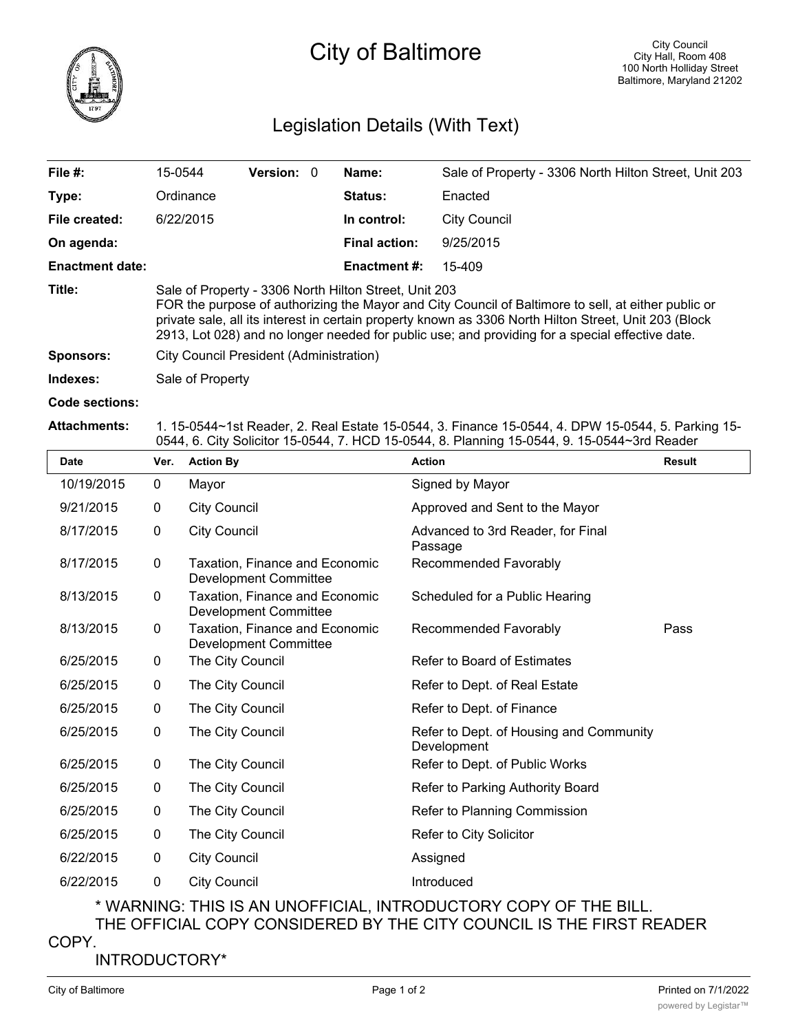

## Legislation Details (With Text)

| File $#$ :             | 15-0544                                                                                                                                                                                                                                                                                                                                                                  | <b>Version: 0</b> |  | Name:               | Sale of Property - 3306 North Hilton Street, Unit 203 |  |
|------------------------|--------------------------------------------------------------------------------------------------------------------------------------------------------------------------------------------------------------------------------------------------------------------------------------------------------------------------------------------------------------------------|-------------------|--|---------------------|-------------------------------------------------------|--|
| Type:                  | Ordinance                                                                                                                                                                                                                                                                                                                                                                |                   |  | Status:             | Enacted                                               |  |
| File created:          | 6/22/2015                                                                                                                                                                                                                                                                                                                                                                |                   |  | In control:         | <b>City Council</b>                                   |  |
| On agenda:             |                                                                                                                                                                                                                                                                                                                                                                          |                   |  | Final action:       | 9/25/2015                                             |  |
| <b>Enactment date:</b> |                                                                                                                                                                                                                                                                                                                                                                          |                   |  | <b>Enactment #:</b> | 15-409                                                |  |
| Title:                 | Sale of Property - 3306 North Hilton Street, Unit 203<br>FOR the purpose of authorizing the Mayor and City Council of Baltimore to sell, at either public or<br>private sale, all its interest in certain property known as 3306 North Hilton Street, Unit 203 (Block<br>2913, Lot 028) and no longer needed for public use; and providing for a special effective date. |                   |  |                     |                                                       |  |
| <b>Sponsors:</b>       | City Council President (Administration)                                                                                                                                                                                                                                                                                                                                  |                   |  |                     |                                                       |  |
| Indexes:               | Sale of Property                                                                                                                                                                                                                                                                                                                                                         |                   |  |                     |                                                       |  |
| Code sections:         |                                                                                                                                                                                                                                                                                                                                                                          |                   |  |                     |                                                       |  |

## **Attachments:** 1. 15-0544~1st Reader, 2. Real Estate 15-0544, 3. Finance 15-0544, 4. DPW 15-0544, 5. Parking 15- 0544, 6. City Solicitor 15-0544, 7. HCD 15-0544, 8. Planning 15-0544, 9. 15-0544~3rd Reader

| Date       | Ver.        | <b>Action By</b>                                               | <b>Action</b>                                          | <b>Result</b> |
|------------|-------------|----------------------------------------------------------------|--------------------------------------------------------|---------------|
| 10/19/2015 | 0           | Mayor                                                          | Signed by Mayor                                        |               |
| 9/21/2015  | $\mathbf 0$ | <b>City Council</b>                                            | Approved and Sent to the Mayor                         |               |
| 8/17/2015  | 0           | <b>City Council</b>                                            | Advanced to 3rd Reader, for Final<br>Passage           |               |
| 8/17/2015  | 0           | Taxation, Finance and Economic<br><b>Development Committee</b> | Recommended Favorably                                  |               |
| 8/13/2015  | 0           | Taxation, Finance and Economic<br>Development Committee        | Scheduled for a Public Hearing                         |               |
| 8/13/2015  | $\mathbf 0$ | Taxation, Finance and Economic<br><b>Development Committee</b> | Recommended Favorably                                  | Pass          |
| 6/25/2015  | $\mathbf 0$ | The City Council                                               | Refer to Board of Estimates                            |               |
| 6/25/2015  | 0           | The City Council                                               | Refer to Dept. of Real Estate                          |               |
| 6/25/2015  | 0           | The City Council                                               | Refer to Dept. of Finance                              |               |
| 6/25/2015  | $\mathbf 0$ | The City Council                                               | Refer to Dept. of Housing and Community<br>Development |               |
| 6/25/2015  | 0           | The City Council                                               | Refer to Dept. of Public Works                         |               |
| 6/25/2015  | $\mathbf 0$ | The City Council                                               | Refer to Parking Authority Board                       |               |
| 6/25/2015  | 0           | The City Council                                               | Refer to Planning Commission                           |               |
| 6/25/2015  | $\mathbf 0$ | The City Council                                               | Refer to City Solicitor                                |               |
| 6/22/2015  | 0           | <b>City Council</b>                                            | Assigned                                               |               |
| 6/22/2015  | 0           | <b>City Council</b>                                            | Introduced                                             |               |

\* WARNING: THIS IS AN UNOFFICIAL, INTRODUCTORY COPY OF THE BILL. THE OFFICIAL COPY CONSIDERED BY THE CITY COUNCIL IS THE FIRST READER

COPY.

INTRODUCTORY\*